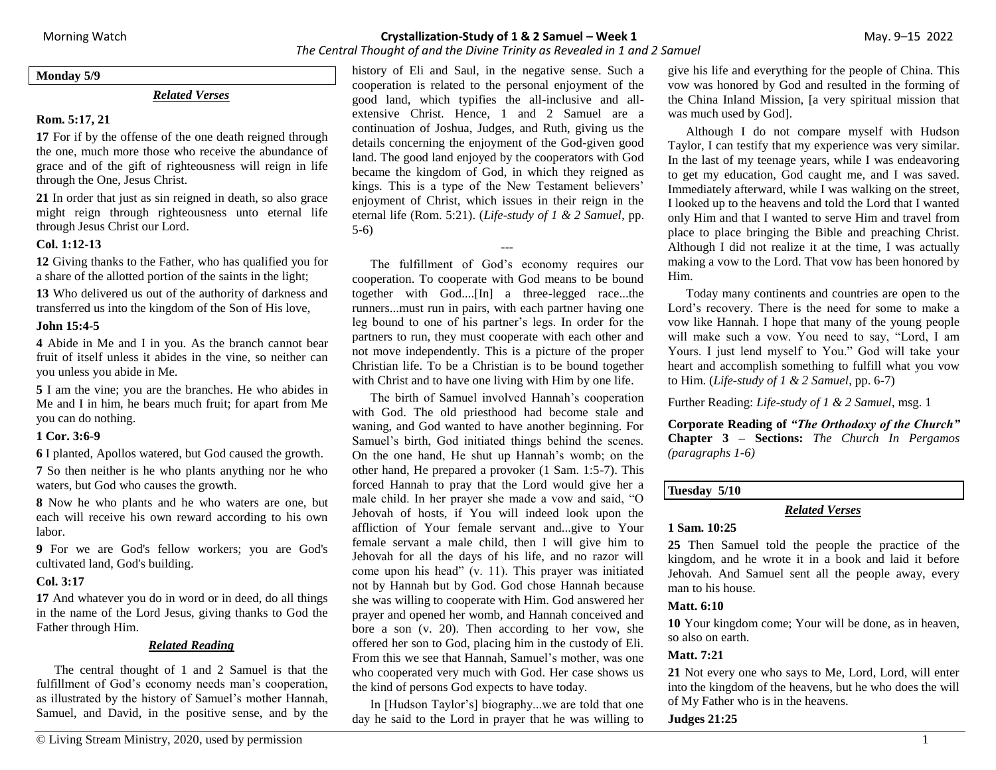*The Central Thought of and the Divine Trinity as Revealed in 1 and 2 Samuel*

**Monday 5/9**

## *Related Verses*

## **Rom. 5:17, 21**

**17** For if by the offense of the one death reigned through the one, much more those who receive the abundance of grace and of the gift of righteousness will reign in life through the One, Jesus Christ.

**21** In order that just as sin reigned in death, so also grace might reign through righteousness unto eternal life through Jesus Christ our Lord.

### **Col. 1:12-13**

**12** Giving thanks to the Father, who has qualified you for a share of the allotted portion of the saints in the light;

**13** Who delivered us out of the authority of darkness and transferred us into the kingdom of the Son of His love,

### **John 15:4-5**

**4** Abide in Me and I in you. As the branch cannot bear fruit of itself unless it abides in the vine, so neither can you unless you abide in Me.

**5** I am the vine; you are the branches. He who abides in Me and I in him, he bears much fruit; for apart from Me you can do nothing.

### **1 Cor. 3:6-9**

**6** I planted, Apollos watered, but God caused the growth.

**7** So then neither is he who plants anything nor he who waters, but God who causes the growth.

**8** Now he who plants and he who waters are one, but each will receive his own reward according to his own labor.

**9** For we are God's fellow workers; you are God's cultivated land, God's building.

### **Col. 3:17**

**17** And whatever you do in word or in deed, do all things in the name of the Lord Jesus, giving thanks to God the Father through Him.

## *Related Reading*

The central thought of 1 and 2 Samuel is that the fulfillment of God's economy needs man's cooperation, as illustrated by the history of Samuel's mother Hannah, Samuel, and David, in the positive sense, and by the history of Eli and Saul, in the negative sense. Such a cooperation is related to the personal enjoyment of the good land, which typifies the all-inclusive and allextensive Christ. Hence, 1 and 2 Samuel are a continuation of Joshua, Judges, and Ruth, giving us the details concerning the enjoyment of the God-given good land. The good land enjoyed by the cooperators with God became the kingdom of God, in which they reigned as kings. This is a type of the New Testament believers' enjoyment of Christ, which issues in their reign in the eternal life (Rom. 5:21). (*Life-study of 1 & 2 Samuel*, pp. 5-6)

---

The fulfillment of God's economy requires our cooperation. To cooperate with God means to be bound together with God....[In] a three-legged race...the runners...must run in pairs, with each partner having one leg bound to one of his partner's legs. In order for the partners to run, they must cooperate with each other and not move independently. This is a picture of the proper Christian life. To be a Christian is to be bound together with Christ and to have one living with Him by one life.

The birth of Samuel involved Hannah's cooperation with God. The old priesthood had become stale and waning, and God wanted to have another beginning. For Samuel's birth, God initiated things behind the scenes. On the one hand, He shut up Hannah's womb; on the other hand, He prepared a provoker (1 Sam. 1:5-7). This forced Hannah to pray that the Lord would give her a male child. In her prayer she made a vow and said, "O Jehovah of hosts, if You will indeed look upon the affliction of Your female servant and...give to Your female servant a male child, then I will give him to Jehovah for all the days of his life, and no razor will come upon his head" (v. 11). This prayer was initiated not by Hannah but by God. God chose Hannah because she was willing to cooperate with Him. God answered her prayer and opened her womb, and Hannah conceived and bore a son (v. 20). Then according to her vow, she offered her son to God, placing him in the custody of Eli. From this we see that Hannah, Samuel's mother, was one who cooperated very much with God. Her case shows us the kind of persons God expects to have today.

In [Hudson Taylor's] biography...we are told that one day he said to the Lord in prayer that he was willing to

give his life and everything for the people of China. This vow was honored by God and resulted in the forming of the China Inland Mission, [a very spiritual mission that was much used by God].

Although I do not compare myself with Hudson Taylor, I can testify that my experience was very similar. In the last of my teenage years, while I was endeavoring to get my education, God caught me, and I was saved. Immediately afterward, while I was walking on the street, I looked up to the heavens and told the Lord that I wanted only Him and that I wanted to serve Him and travel from place to place bringing the Bible and preaching Christ. Although I did not realize it at the time, I was actually making a vow to the Lord. That vow has been honored by Him.

Today many continents and countries are open to the Lord's recovery. There is the need for some to make a vow like Hannah. I hope that many of the young people will make such a vow. You need to say, "Lord, I am Yours. I just lend myself to You." God will take your heart and accomplish something to fulfill what you vow to Him. (*Life-study of 1 & 2 Samuel*, pp. 6-7)

Further Reading: *Life-study of 1 & 2 Samuel*, msg. 1

**Corporate Reading of** *"The Orthodoxy of the Church"* **Chapter 3 – Sections:** *The Church In Pergamos (paragraphs 1-6)*

## **Tuesday 5/10**

### *Related Verses*

## **1 Sam. 10:25**

**25** Then Samuel told the people the practice of the kingdom, and he wrote it in a book and laid it before Jehovah. And Samuel sent all the people away, every man to his house.

### **Matt. 6:10**

**10** Your kingdom come; Your will be done, as in heaven, so also on earth.

## **Matt. 7:21**

**21** Not every one who says to Me, Lord, Lord, will enter into the kingdom of the heavens, but he who does the will of My Father who is in the heavens.

### **Judges 21:25**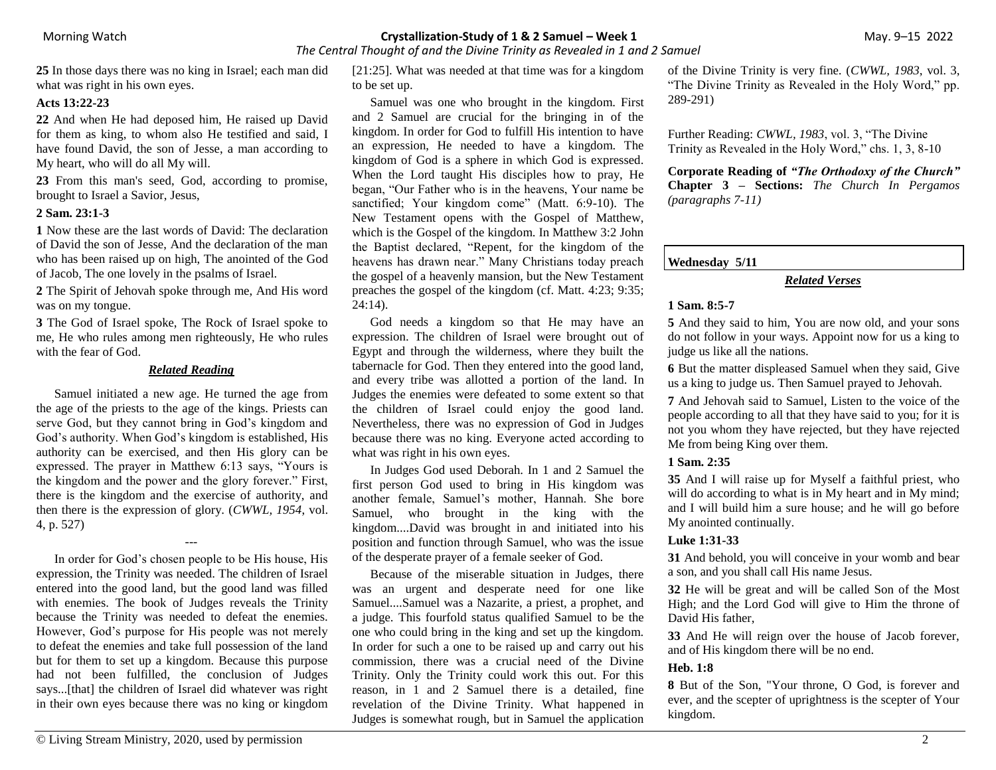*The Central Thought of and the Divine Trinity as Revealed in 1 and 2 Samuel*

**25** In those days there was no king in Israel; each man did what was right in his own eyes.

## **Acts 13:22-23**

**22** And when He had deposed him, He raised up David for them as king, to whom also He testified and said, I have found David, the son of Jesse, a man according to My heart, who will do all My will.

**23** From this man's seed, God, according to promise, brought to Israel a Savior, Jesus,

#### **2 Sam. 23:1-3**

**1** Now these are the last words of David: The declaration of David the son of Jesse, And the declaration of the man who has been raised up on high, The anointed of the God of Jacob, The one lovely in the psalms of Israel.

**2** The Spirit of Jehovah spoke through me, And His word was on my tongue.

**3** The God of Israel spoke, The Rock of Israel spoke to me, He who rules among men righteously, He who rules with the fear of God.

## *Related Reading*

Samuel initiated a new age. He turned the age from the age of the priests to the age of the kings. Priests can serve God, but they cannot bring in God's kingdom and God's authority. When God's kingdom is established, His authority can be exercised, and then His glory can be expressed. The prayer in Matthew 6:13 says, "Yours is the kingdom and the power and the glory forever." First, there is the kingdom and the exercise of authority, and then there is the expression of glory. (*CWWL, 1954*, vol. 4, p. 527)

---

In order for God's chosen people to be His house, His expression, the Trinity was needed. The children of Israel entered into the good land, but the good land was filled with enemies. The book of Judges reveals the Trinity because the Trinity was needed to defeat the enemies. However, God's purpose for His people was not merely to defeat the enemies and take full possession of the land but for them to set up a kingdom. Because this purpose had not been fulfilled, the conclusion of Judges says...[that] the children of Israel did whatever was right in their own eyes because there was no king or kingdom [21:25]. What was needed at that time was for a kingdom to be set up.

Samuel was one who brought in the kingdom. First and 2 Samuel are crucial for the bringing in of the kingdom. In order for God to fulfill His intention to have an expression, He needed to have a kingdom. The kingdom of God is a sphere in which God is expressed. When the Lord taught His disciples how to pray, He began, "Our Father who is in the heavens, Your name be sanctified; Your kingdom come" (Matt. 6:9-10). The New Testament opens with the Gospel of Matthew, which is the Gospel of the kingdom. In Matthew 3:2 John the Baptist declared, "Repent, for the kingdom of the heavens has drawn near." Many Christians today preach the gospel of a heavenly mansion, but the New Testament preaches the gospel of the kingdom (cf. Matt. 4:23; 9:35; 24:14).

God needs a kingdom so that He may have an expression. The children of Israel were brought out of Egypt and through the wilderness, where they built the tabernacle for God. Then they entered into the good land, and every tribe was allotted a portion of the land. In Judges the enemies were defeated to some extent so that the children of Israel could enjoy the good land. Nevertheless, there was no expression of God in Judges because there was no king. Everyone acted according to what was right in his own eyes.

In Judges God used Deborah. In 1 and 2 Samuel the first person God used to bring in His kingdom was another female, Samuel's mother, Hannah. She bore Samuel, who brought in the king with the kingdom....David was brought in and initiated into his position and function through Samuel, who was the issue of the desperate prayer of a female seeker of God.

Because of the miserable situation in Judges, there was an urgent and desperate need for one like Samuel....Samuel was a Nazarite, a priest, a prophet, and a judge. This fourfold status qualified Samuel to be the one who could bring in the king and set up the kingdom. In order for such a one to be raised up and carry out his commission, there was a crucial need of the Divine Trinity. Only the Trinity could work this out. For this reason, in 1 and 2 Samuel there is a detailed, fine revelation of the Divine Trinity. What happened in Judges is somewhat rough, but in Samuel the application

of the Divine Trinity is very fine. (*CWWL, 1983*, vol. 3, "The Divine Trinity as Revealed in the Holy Word," pp. 289-291)

Further Reading: *CWWL, 1983*, vol. 3, "The Divine Trinity as Revealed in the Holy Word," chs. 1, 3, 8-10

**Corporate Reading of** *"The Orthodoxy of the Church"* **Chapter 3 – Sections:** *The Church In Pergamos (paragraphs 7-11)*

## **Wednesday 5/11**

## *Related Verses*

### **1 Sam. 8:5-7**

**5** And they said to him, You are now old, and your sons do not follow in your ways. Appoint now for us a king to judge us like all the nations.

**6** But the matter displeased Samuel when they said, Give us a king to judge us. Then Samuel prayed to Jehovah.

**7** And Jehovah said to Samuel, Listen to the voice of the people according to all that they have said to you; for it is not you whom they have rejected, but they have rejected Me from being King over them.

### **1 Sam. 2:35**

**35** And I will raise up for Myself a faithful priest, who will do according to what is in My heart and in My mind; and I will build him a sure house; and he will go before My anointed continually.

## **Luke 1:31-33**

**31** And behold, you will conceive in your womb and bear a son, and you shall call His name Jesus.

**32** He will be great and will be called Son of the Most High; and the Lord God will give to Him the throne of David His father,

**33** And He will reign over the house of Jacob forever, and of His kingdom there will be no end.

## **Heb. 1:8**

**8** But of the Son, "Your throne, O God, is forever and ever, and the scepter of uprightness is the scepter of Your kingdom.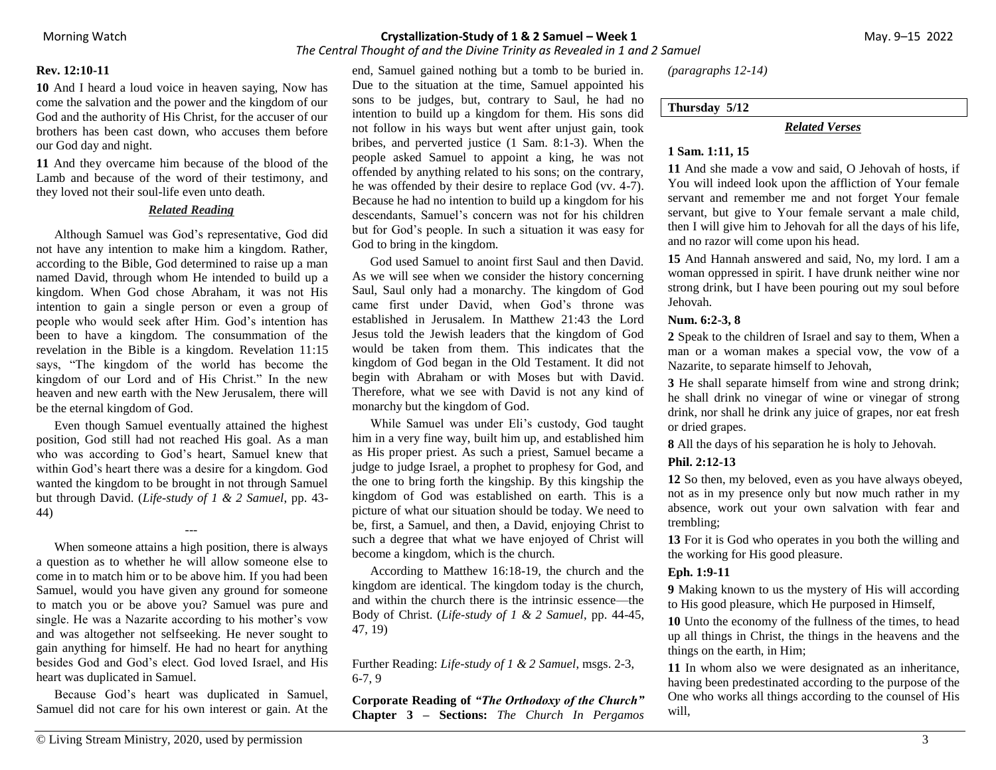*The Central Thought of and the Divine Trinity as Revealed in 1 and 2 Samuel*

#### **Rev. 12:10-11**

**10** And I heard a loud voice in heaven saying, Now has come the salvation and the power and the kingdom of our God and the authority of His Christ, for the accuser of our brothers has been cast down, who accuses them before our God day and night.

**11** And they overcame him because of the blood of the Lamb and because of the word of their testimony, and they loved not their soul-life even unto death.

### *Related Reading*

Although Samuel was God's representative, God did not have any intention to make him a kingdom. Rather, according to the Bible, God determined to raise up a man named David, through whom He intended to build up a kingdom. When God chose Abraham, it was not His intention to gain a single person or even a group of people who would seek after Him. God's intention has been to have a kingdom. The consummation of the revelation in the Bible is a kingdom. Revelation 11:15 says, "The kingdom of the world has become the kingdom of our Lord and of His Christ." In the new heaven and new earth with the New Jerusalem, there will be the eternal kingdom of God.

Even though Samuel eventually attained the highest position, God still had not reached His goal. As a man who was according to God's heart, Samuel knew that within God's heart there was a desire for a kingdom. God wanted the kingdom to be brought in not through Samuel but through David. (*Life-study of 1 & 2 Samuel*, pp. 43- 44)

---

When someone attains a high position, there is always a question as to whether he will allow someone else to come in to match him or to be above him. If you had been Samuel, would you have given any ground for someone to match you or be above you? Samuel was pure and single. He was a Nazarite according to his mother's vow and was altogether not selfseeking. He never sought to gain anything for himself. He had no heart for anything besides God and God's elect. God loved Israel, and His heart was duplicated in Samuel.

Because God's heart was duplicated in Samuel, Samuel did not care for his own interest or gain. At the end, Samuel gained nothing but a tomb to be buried in. Due to the situation at the time, Samuel appointed his sons to be judges, but, contrary to Saul, he had no intention to build up a kingdom for them. His sons did not follow in his ways but went after unjust gain, took bribes, and perverted justice (1 Sam. 8:1-3). When the people asked Samuel to appoint a king, he was not offended by anything related to his sons; on the contrary, he was offended by their desire to replace God (vv. 4-7). Because he had no intention to build up a kingdom for his descendants, Samuel's concern was not for his children but for God's people. In such a situation it was easy for God to bring in the kingdom.

God used Samuel to anoint first Saul and then David. As we will see when we consider the history concerning Saul, Saul only had a monarchy. The kingdom of God came first under David, when God's throne was established in Jerusalem. In Matthew 21:43 the Lord Jesus told the Jewish leaders that the kingdom of God would be taken from them. This indicates that the kingdom of God began in the Old Testament. It did not begin with Abraham or with Moses but with David. Therefore, what we see with David is not any kind of monarchy but the kingdom of God.

While Samuel was under Eli's custody, God taught him in a very fine way, built him up, and established him as His proper priest. As such a priest, Samuel became a judge to judge Israel, a prophet to prophesy for God, and the one to bring forth the kingship. By this kingship the kingdom of God was established on earth. This is a picture of what our situation should be today. We need to be, first, a Samuel, and then, a David, enjoying Christ to such a degree that what we have enjoyed of Christ will become a kingdom, which is the church.

According to Matthew 16:18-19, the church and the kingdom are identical. The kingdom today is the church, and within the church there is the intrinsic essence—the Body of Christ. (*Life-study of 1 & 2 Samuel*, pp. 44-45, 47, 19)

Further Reading: *Life-study of 1 & 2 Samuel*, msgs. 2-3, 6-7, 9

**Corporate Reading of** *"The Orthodoxy of the Church"* **Chapter 3 – Sections:** *The Church In Pergamos*  *(paragraphs 12-14)*

### **Thursday 5/12**

#### *Related Verses*

### **1 Sam. 1:11, 15**

**11** And she made a vow and said, O Jehovah of hosts, if You will indeed look upon the affliction of Your female servant and remember me and not forget Your female servant, but give to Your female servant a male child, then I will give him to Jehovah for all the days of his life, and no razor will come upon his head.

**15** And Hannah answered and said, No, my lord. I am a woman oppressed in spirit. I have drunk neither wine nor strong drink, but I have been pouring out my soul before Jehovah.

#### **Num. 6:2-3, 8**

**2** Speak to the children of Israel and say to them, When a man or a woman makes a special vow, the vow of a Nazarite, to separate himself to Jehovah,

**3** He shall separate himself from wine and strong drink; he shall drink no vinegar of wine or vinegar of strong drink, nor shall he drink any juice of grapes, nor eat fresh or dried grapes.

**8** All the days of his separation he is holy to Jehovah.

## **Phil. 2:12-13**

**12** So then, my beloved, even as you have always obeyed, not as in my presence only but now much rather in my absence, work out your own salvation with fear and trembling;

**13** For it is God who operates in you both the willing and the working for His good pleasure.

#### **Eph. 1:9-11**

**9** Making known to us the mystery of His will according to His good pleasure, which He purposed in Himself,

**10** Unto the economy of the fullness of the times, to head up all things in Christ, the things in the heavens and the things on the earth, in Him;

**11** In whom also we were designated as an inheritance, having been predestinated according to the purpose of the One who works all things according to the counsel of His will,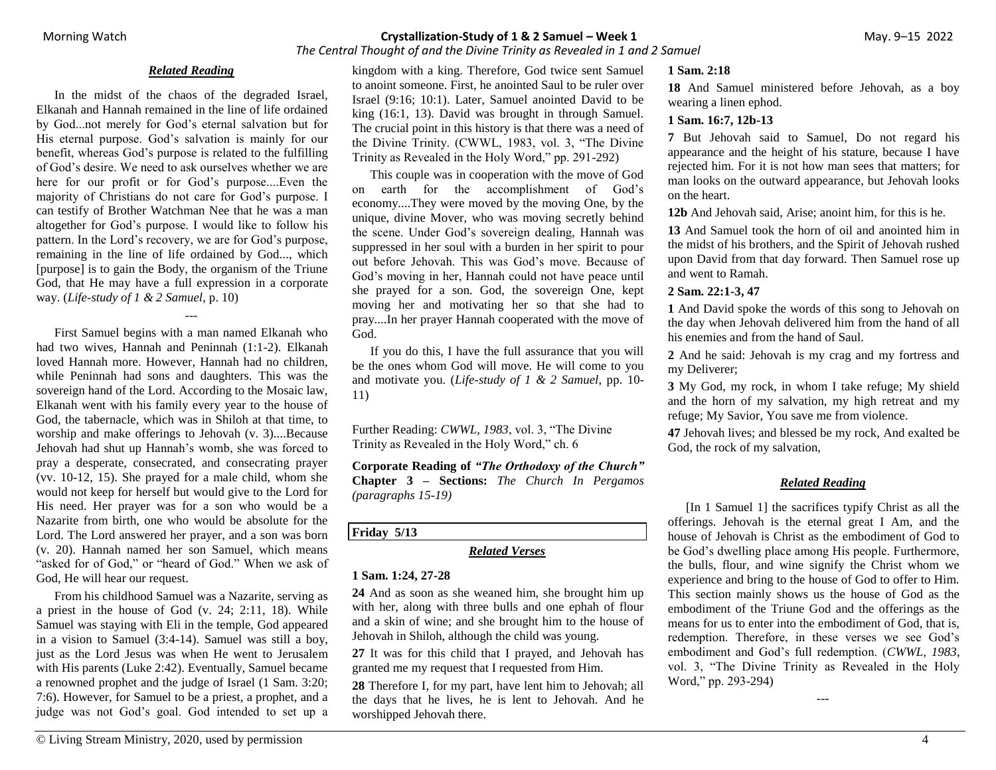## *The Central Thought of and the Divine Trinity as Revealed in 1 and 2 Samuel*

### *Related Reading*

In the midst of the chaos of the degraded Israel, Elkanah and Hannah remained in the line of life ordained by God...not merely for God's eternal salvation but for His eternal purpose. God's salvation is mainly for our benefit, whereas God's purpose is related to the fulfilling of God's desire. We need to ask ourselves whether we are here for our profit or for God's purpose....Even the majority of Christians do not care for God's purpose. I can testify of Brother Watchman Nee that he was a man altogether for God's purpose. I would like to follow his pattern. In the Lord's recovery, we are for God's purpose, remaining in the line of life ordained by God..., which [purpose] is to gain the Body, the organism of the Triune God, that He may have a full expression in a corporate way. (*Life-study of 1 & 2 Samuel*, p. 10)

---

First Samuel begins with a man named Elkanah who had two wives, Hannah and Peninnah (1:1-2). Elkanah loved Hannah more. However, Hannah had no children, while Peninnah had sons and daughters. This was the sovereign hand of the Lord. According to the Mosaic law, Elkanah went with his family every year to the house of God, the tabernacle, which was in Shiloh at that time, to worship and make offerings to Jehovah (v. 3)....Because Jehovah had shut up Hannah's womb, she was forced to pray a desperate, consecrated, and consecrating prayer (vv. 10-12, 15). She prayed for a male child, whom she would not keep for herself but would give to the Lord for His need. Her prayer was for a son who would be a Nazarite from birth, one who would be absolute for the Lord. The Lord answered her prayer, and a son was born (v. 20). Hannah named her son Samuel, which means "asked for of God," or "heard of God." When we ask of God, He will hear our request.

From his childhood Samuel was a Nazarite, serving as a priest in the house of God (v. 24; 2:11, 18). While Samuel was staying with Eli in the temple, God appeared in a vision to Samuel (3:4-14). Samuel was still a boy, just as the Lord Jesus was when He went to Jerusalem with His parents (Luke 2:42). Eventually, Samuel became a renowned prophet and the judge of Israel (1 Sam. 3:20; 7:6). However, for Samuel to be a priest, a prophet, and a judge was not God's goal. God intended to set up a kingdom with a king. Therefore, God twice sent Samuel to anoint someone. First, he anointed Saul to be ruler over Israel (9:16; 10:1). Later, Samuel anointed David to be king (16:1, 13). David was brought in through Samuel. The crucial point in this history is that there was a need of the Divine Trinity. (CWWL, 1983, vol. 3, "The Divine Trinity as Revealed in the Holy Word," pp. 291-292)

This couple was in cooperation with the move of God on earth for the accomplishment of God's economy....They were moved by the moving One, by the unique, divine Mover, who was moving secretly behind the scene. Under God's sovereign dealing, Hannah was suppressed in her soul with a burden in her spirit to pour out before Jehovah. This was God's move. Because of God's moving in her, Hannah could not have peace until she prayed for a son. God, the sovereign One, kept moving her and motivating her so that she had to pray....In her prayer Hannah cooperated with the move of God.

If you do this, I have the full assurance that you will be the ones whom God will move. He will come to you and motivate you. (*Life-study of 1 & 2 Samuel*, pp. 10- 11)

Further Reading: *CWWL, 1983*, vol. 3, "The Divine Trinity as Revealed in the Holy Word," ch. 6

**Corporate Reading of** *"The Orthodoxy of the Church"* **Chapter 3 – Sections:** *The Church In Pergamos (paragraphs 15-19)*

## **Friday 5/13**

#### *Related Verses*

### **1 Sam. 1:24, 27-28**

**24** And as soon as she weaned him, she brought him up with her, along with three bulls and one ephah of flour and a skin of wine; and she brought him to the house of Jehovah in Shiloh, although the child was young.

**27** It was for this child that I prayed, and Jehovah has granted me my request that I requested from Him.

**28** Therefore I, for my part, have lent him to Jehovah; all the days that he lives, he is lent to Jehovah. And he worshipped Jehovah there.

### **1 Sam. 2:18**

**18** And Samuel ministered before Jehovah, as a boy wearing a linen ephod.

## **1 Sam. 16:7, 12b-13**

**7** But Jehovah said to Samuel, Do not regard his appearance and the height of his stature, because I have rejected him. For it is not how man sees that matters; for man looks on the outward appearance, but Jehovah looks on the heart.

**12b** And Jehovah said, Arise; anoint him, for this is he.

**13** And Samuel took the horn of oil and anointed him in the midst of his brothers, and the Spirit of Jehovah rushed upon David from that day forward. Then Samuel rose up and went to Ramah.

## **2 Sam. 22:1-3, 47**

**1** And David spoke the words of this song to Jehovah on the day when Jehovah delivered him from the hand of all his enemies and from the hand of Saul.

**2** And he said: Jehovah is my crag and my fortress and my Deliverer;

**3** My God, my rock, in whom I take refuge; My shield and the horn of my salvation, my high retreat and my refuge; My Savior, You save me from violence.

**47** Jehovah lives; and blessed be my rock, And exalted be God, the rock of my salvation,

# *Related Reading*

[In 1 Samuel 1] the sacrifices typify Christ as all the offerings. Jehovah is the eternal great I Am, and the house of Jehovah is Christ as the embodiment of God to be God's dwelling place among His people. Furthermore, the bulls, flour, and wine signify the Christ whom we experience and bring to the house of God to offer to Him. This section mainly shows us the house of God as the embodiment of the Triune God and the offerings as the means for us to enter into the embodiment of God, that is, redemption. Therefore, in these verses we see God's embodiment and God's full redemption. (*CWWL, 1983*, vol. 3, "The Divine Trinity as Revealed in the Holy Word," pp. 293-294)

---

© Living Stream Ministry, 2020, used by permission 4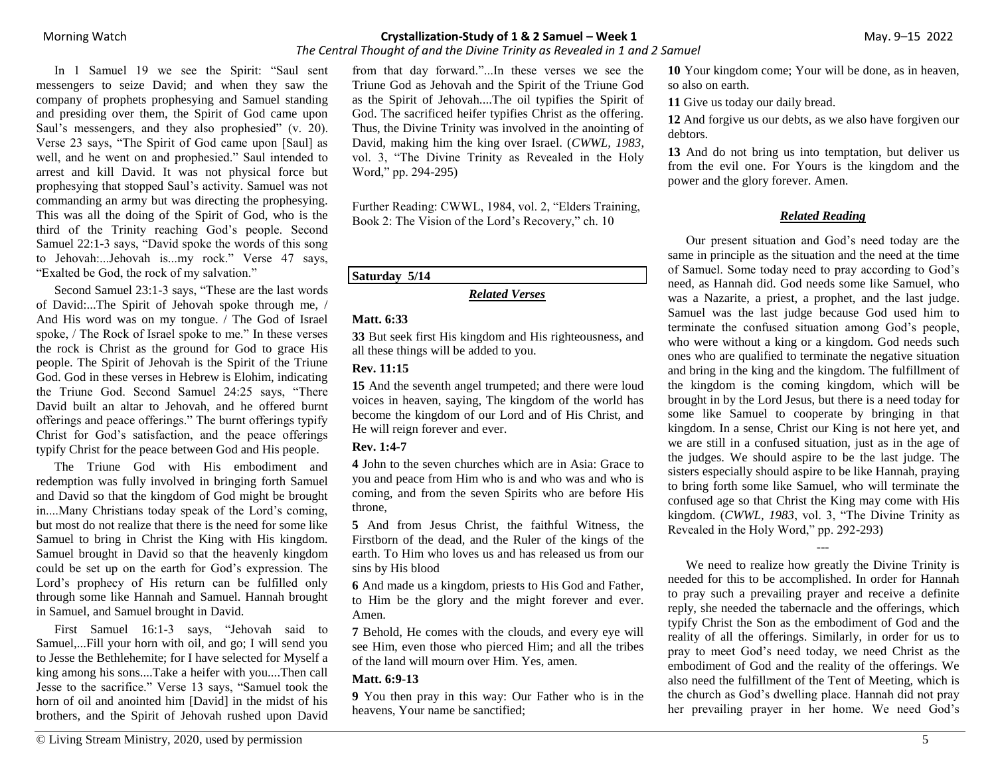*The Central Thought of and the Divine Trinity as Revealed in 1 and 2 Samuel*

In 1 Samuel 19 we see the Spirit: "Saul sent messengers to seize David; and when they saw the company of prophets prophesying and Samuel standing and presiding over them, the Spirit of God came upon Saul's messengers, and they also prophesied" (v. 20). Verse 23 says, "The Spirit of God came upon [Saul] as well, and he went on and prophesied." Saul intended to arrest and kill David. It was not physical force but prophesying that stopped Saul's activity. Samuel was not commanding an army but was directing the prophesying. This was all the doing of the Spirit of God, who is the third of the Trinity reaching God's people. Second Samuel 22:1-3 says, "David spoke the words of this song to Jehovah:...Jehovah is...my rock." Verse 47 says, "Exalted be God, the rock of my salvation."

Second Samuel 23:1-3 says, "These are the last words of David:...The Spirit of Jehovah spoke through me, / And His word was on my tongue. / The God of Israel spoke, / The Rock of Israel spoke to me." In these verses the rock is Christ as the ground for God to grace His people. The Spirit of Jehovah is the Spirit of the Triune God. God in these verses in Hebrew is Elohim, indicating the Triune God. Second Samuel 24:25 says, "There David built an altar to Jehovah, and he offered burnt offerings and peace offerings." The burnt offerings typify Christ for God's satisfaction, and the peace offerings typify Christ for the peace between God and His people.

The Triune God with His embodiment and redemption was fully involved in bringing forth Samuel and David so that the kingdom of God might be brought in....Many Christians today speak of the Lord's coming, but most do not realize that there is the need for some like Samuel to bring in Christ the King with His kingdom. Samuel brought in David so that the heavenly kingdom could be set up on the earth for God's expression. The Lord's prophecy of His return can be fulfilled only through some like Hannah and Samuel. Hannah brought in Samuel, and Samuel brought in David.

First Samuel 16:1-3 says, "Jehovah said to Samuel,...Fill your horn with oil, and go; I will send you to Jesse the Bethlehemite; for I have selected for Myself a king among his sons....Take a heifer with you....Then call Jesse to the sacrifice." Verse 13 says, "Samuel took the horn of oil and anointed him [David] in the midst of his brothers, and the Spirit of Jehovah rushed upon David from that day forward."...In these verses we see the Triune God as Jehovah and the Spirit of the Triune God as the Spirit of Jehovah....The oil typifies the Spirit of God. The sacrificed heifer typifies Christ as the offering. Thus, the Divine Trinity was involved in the anointing of David, making him the king over Israel. (*CWWL, 1983*, vol. 3, "The Divine Trinity as Revealed in the Holy Word," pp. 294-295)

Further Reading: CWWL, 1984, vol. 2, "Elders Training, Book 2: The Vision of the Lord's Recovery," ch. 10

## **Saturday 5/14**

### *Related Verses*

## **Matt. 6:33**

**33** But seek first His kingdom and His righteousness, and all these things will be added to you.

## **Rev. 11:15**

**15** And the seventh angel trumpeted; and there were loud voices in heaven, saying, The kingdom of the world has become the kingdom of our Lord and of His Christ, and He will reign forever and ever.

## **Rev. 1:4-7**

**4** John to the seven churches which are in Asia: Grace to you and peace from Him who is and who was and who is coming, and from the seven Spirits who are before His throne,

**5** And from Jesus Christ, the faithful Witness, the Firstborn of the dead, and the Ruler of the kings of the earth. To Him who loves us and has released us from our sins by His blood

**6** And made us a kingdom, priests to His God and Father, to Him be the glory and the might forever and ever. Amen.

**7** Behold, He comes with the clouds, and every eye will see Him, even those who pierced Him; and all the tribes of the land will mourn over Him. Yes, amen.

## **Matt. 6:9-13**

**9** You then pray in this way: Our Father who is in the heavens, Your name be sanctified;

**10** Your kingdom come; Your will be done, as in heaven, so also on earth.

**11** Give us today our daily bread.

**12** And forgive us our debts, as we also have forgiven our debtors.

**13** And do not bring us into temptation, but deliver us from the evil one. For Yours is the kingdom and the power and the glory forever. Amen.

# *Related Reading*

Our present situation and God's need today are the same in principle as the situation and the need at the time of Samuel. Some today need to pray according to God's need, as Hannah did. God needs some like Samuel, who was a Nazarite, a priest, a prophet, and the last judge. Samuel was the last judge because God used him to terminate the confused situation among God's people, who were without a king or a kingdom. God needs such ones who are qualified to terminate the negative situation and bring in the king and the kingdom. The fulfillment of the kingdom is the coming kingdom, which will be brought in by the Lord Jesus, but there is a need today for some like Samuel to cooperate by bringing in that kingdom. In a sense, Christ our King is not here yet, and we are still in a confused situation, just as in the age of the judges. We should aspire to be the last judge. The sisters especially should aspire to be like Hannah, praying to bring forth some like Samuel, who will terminate the confused age so that Christ the King may come with His kingdom. (*CWWL, 1983*, vol. 3, "The Divine Trinity as Revealed in the Holy Word," pp. 292-293)

We need to realize how greatly the Divine Trinity is needed for this to be accomplished. In order for Hannah to pray such a prevailing prayer and receive a definite reply, she needed the tabernacle and the offerings, which typify Christ the Son as the embodiment of God and the reality of all the offerings. Similarly, in order for us to pray to meet God's need today, we need Christ as the embodiment of God and the reality of the offerings. We also need the fulfillment of the Tent of Meeting, which is the church as God's dwelling place. Hannah did not pray her prevailing prayer in her home. We need God's

---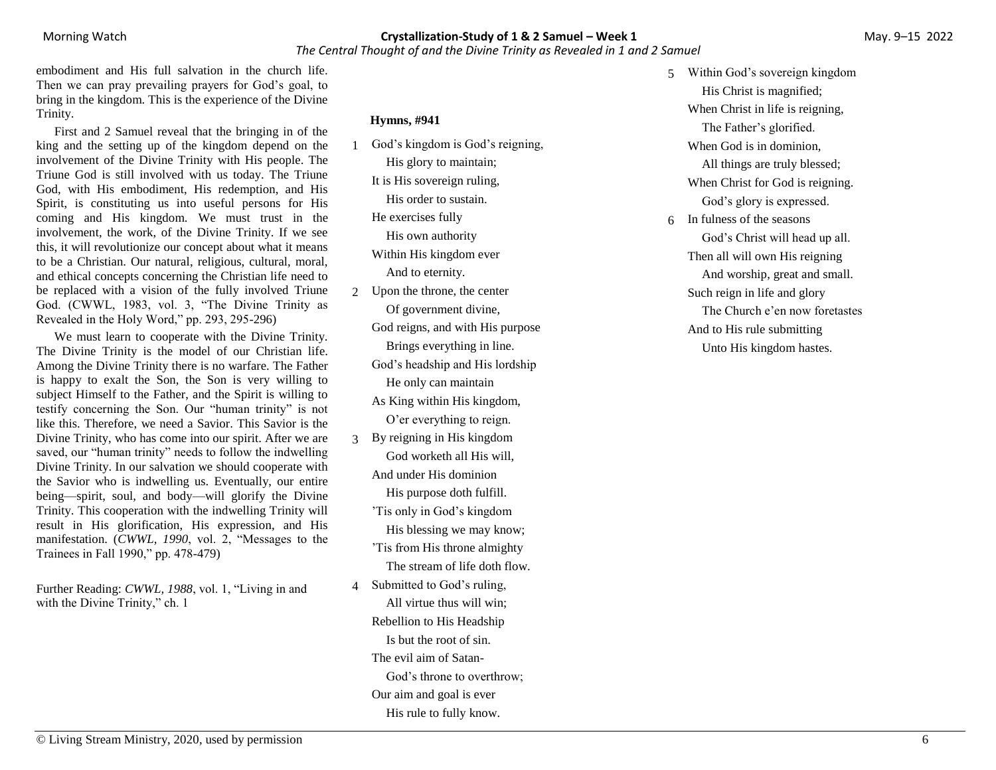## Morning Watch**Crystallization-Study of 1 & 2 Samuel – Week 1** May. 9–15 2022 *The Central Thought of and the Divine Trinity as Revealed in 1 and 2 Samuel*

embodiment and His full salvation in the church life. Then we can pray prevailing prayers for God's goal, to bring in the kingdom. This is the experience of the Divine Trinity.

First and 2 Samuel reveal that the bringing in of the king and the setting up of the kingdom depend on the involvement of the Divine Trinity with His people. The Triune God is still involved with us today. The Triune God, with His embodiment, His redemption, and His Spirit, is constituting us into useful persons for His coming and His kingdom. We must trust in the involvement, the work, of the Divine Trinity. If we see this, it will revolutionize our concept about what it means to be a Christian. Our natural, religious, cultural, moral, and ethical concepts concerning the Christian life need to be replaced with a vision of the fully involved Triune God. (CWWL, 1983, vol. 3, "The Divine Trinity as Revealed in the Holy Word," pp. 293, 295-296)

We must learn to cooperate with the Divine Trinity. The Divine Trinity is the model of our Christian life. Among the Divine Trinity there is no warfare. The Father is happy to exalt the Son, the Son is very willing to subject Himself to the Father, and the Spirit is willing to testify concerning the Son. Our "human trinity" is not like this. Therefore, we need a Savior. This Savior is the Divine Trinity, who has come into our spirit. After we are saved, our "human trinity" needs to follow the indwelling Divine Trinity. In our salvation we should cooperate with the Savior who is indwelling us. Eventually, our entire being—spirit, soul, and body—will glorify the Divine Trinity. This cooperation with the indwelling Trinity will result in His glorification, His expression, and His manifestation. (*CWWL, 1990*, vol. 2, "Messages to the Trainees in Fall 1990," pp. 478-479)

Further Reading: *CWWL, 1988*, vol. 1, "Living in and with the Divine Trinity," ch. 1

**Hymns, #941**

- 1 God's kingdom is God's reigning, His glory to maintain; It is His sovereign ruling, His order to sustain. He exercises fully His own authority Within His kingdom ever And to eternity. 2 Upon the throne, the center
- Of government divine, God reigns, and with His purpose Brings everything in line. God's headship and His lordship He only can maintain As King within His kingdom, O'er everything to reign.
- 3 By reigning in His kingdom God worketh all His will, And under His dominion His purpose doth fulfill.
	- 'Tis only in God's kingdom His blessing we may know; 'Tis from His throne almighty The stream of life doth flow.
- 4 Submitted to God's ruling, All virtue thus will win; Rebellion to His Headship Is but the root of sin. The evil aim of Satan-God's throne to overthrow; Our aim and goal is ever His rule to fully know.

5 Within God's sovereign kingdom His Christ is magnified; When Christ in life is reigning, The Father's glorified. When God is in dominion, All things are truly blessed; When Christ for God is reigning. God's glory is expressed. 6 In fulness of the seasons God's Christ will head up all. Then all will own His reigning And worship, great and small. Such reign in life and glory The Church e'en now foretastes And to His rule submitting Unto His kingdom hastes.